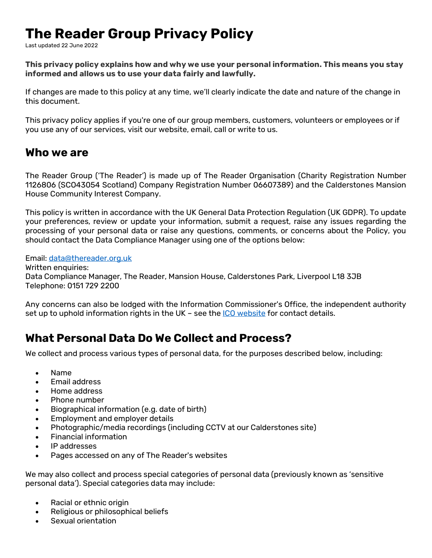# **The Reader Group Privacy Policy**

Last updated 22 June 2022

**This privacy policy explains how and why we use your personal information. This means you stay informed and allows us to use your data fairly and lawfully.**

If changes are made to this policy at any time, we'll clearly indicate the date and nature of the change in this document.

This privacy policy applies if you're one of our group members, customers, volunteers or employees or if you use any of our services, visit our website, email, call or write to us.

### **Who we are**

The Reader Group ('The Reader') is made up of The Reader Organisation (Charity Registration Number 1126806 (SCO43054 Scotland) Company Registration Number 06607389) and the Calderstones Mansion House Community Interest Company.

This policy is written in accordance with the UK General Data Protection Regulation (UK GDPR). To update your preferences, review or update your information, submit a request, raise any issues regarding the processing of your personal data or raise any questions, comments, or concerns about the Policy, you should contact the Data Compliance Manager using one of the options below:

Email: [data@thereader.org.uk](mailto:data@thereader.org.uk)

Written enquiries: Data Compliance Manager, The Reader, Mansion House, Calderstones Park, Liverpool L18 3JB Telephone: 0151 729 2200

Any concerns can also be lodged with the Information Commissioner's Office, the independent authority set up to uphold information rights in the UK - see th[e ICO website](https://ico.org.uk/) for contact details.

### **What Personal Data Do We Collect and Process?**

We collect and process various types of personal data, for the purposes described below, including:

- Name
- Email address
- Home address
- Phone number
- Biographical information (e.g. date of birth)
- Employment and employer details
- Photographic/media recordings (including CCTV at our Calderstones site)
- Financial information
- IP addresses
- Pages accessed on any of The Reader's websites

We may also collect and process special categories of personal data (previously known as 'sensitive personal data'). Special categories data may include:

- Racial or ethnic origin
- Religious or philosophical beliefs
- Sexual orientation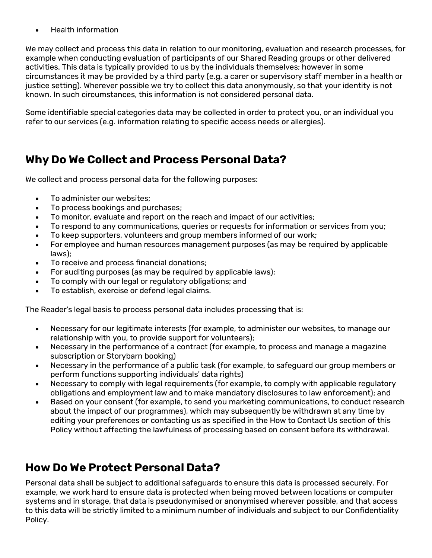• Health information

We may collect and process this data in relation to [our monitoring,](https://www.privacyinternational.org/basic-page/618/%3Ca%20href=) evaluation and research processes, for example when conducting evaluation of participants of our Shared Reading groups or other delivered activities. This data is typically provided to us by the individuals themselves; however in some circumstances it may be provided by a third party (e.g. a carer or supervisory staff member in a health or justice setting). Wherever possible we try to collect this data anonymously, so that your identity is not known. In such circumstances, this information is not considered personal data.

Some identifiable special categories data may be collected in order to protect you, or an individual you refer to our services (e.g. information relating to specific access needs or allergies).

# **Why Do We Collect and Process Personal Data?**

We collect and process personal data for the following purposes:

- To administer our websites;
- To process bookings and purchases;
- To monitor, evaluate and report on the reach and impact of our activities;
- To respond to any communications, queries or requests for information or services from you;
- To keep supporters, volunteers and group members informed of our work;
- For employee and human resources management purposes (as may be required by applicable laws);
- To receive and process financial donations;
- For auditing purposes (as may be required by applicable laws);
- To comply with our legal or regulatory obligations; and
- To establish, exercise or defend legal claims.

The Reader's legal basis to process personal data includes processing that is:

- Necessary for our legitimate interests (for example, to administer our websites, to manage our relationship with you, to provide support for volunteers);
- Necessary in the performance of a contract (for example, to process and manage a magazine subscription or Storybarn booking)
- Necessary in the performance of a public task (for example, to safeguard our group members or perform functions supporting individuals' data rights)
- Necessary to comply with legal requirements (for example, to comply with applicable regulatory obligations and employment law and to make mandatory disclosures to law enforcement); and
- Based on your consent (for example, to send you marketing communications, to conduct research about the impact of our programmes), which may subsequently be withdrawn at any time by editing your preferences or contacting us as specified in the How to Contact Us section of this Policy without affecting the lawfulness of processing based on consent before its withdrawal.

# **How Do We Protect Personal Data?**

Personal data shall be subject to additional safeguards to ensure this data is processed securely. For example, we work hard to ensure data is protected when being moved between locations or computer systems and in storage, that data is pseudonymised or anonymised wherever possible, and that access to this data will be strictly limited to a minimum number of individuals and subject to our Confidentiality Policy.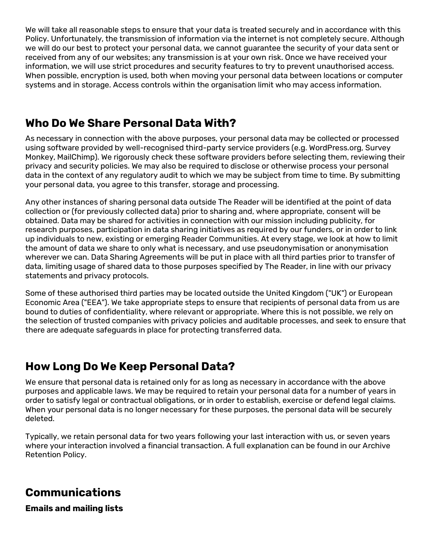We will take all reasonable steps to ensure that your data is treated securely and in accordance with this Policy. Unfortunately, the transmission of information via the internet is not completely secure. Although we will do our best to protect your personal data, we cannot guarantee the security of your data sent or received from any of our websites; any transmission is at your own risk. Once we have received your information, we will use strict procedures and security features to try to prevent unauthorised access. When possible, encryption is used, both when moving your personal data between locations or computer systems and in storage. Access controls within the organisation limit who may access information.

### **Who Do We Share Personal Data With?**

As necessary in connection with the above purposes, your personal data may be collected or processed using software provided by well-recognised third-party service providers (e.g. WordPress.org, Survey Monkey, MailChimp). We rigorously check these software providers before selecting them, reviewing their privacy and security policies. We may also be required to disclose or otherwise process your personal data in the context of any regulatory audit to which we may be subject from time to time. By submitting your personal data, you agree to this transfer, storage and processing.

Any other instances of sharing personal data outside The Reader will be identified at the point of data collection or (for previously collected data) prior to sharing and, where appropriate, consent will be obtained. Data may be shared for activities in connection with our mission including publicity, for research purposes, participation in data sharing initiatives as required by our funders, or in order to link up individuals to new, existing or emerging Reader Communities. At every stage, we look at how to limit the amount of data we share to only what is necessary, and use pseudonymisation or anonymisation wherever we can. Data Sharing Agreements will be put in place with all third parties prior to transfer of data, limiting usage of shared data to those purposes specified by The Reader, in line with our privacy statements and privacy protocols.

Some of these authorised third parties may be located outside the United Kingdom ("UK") or European Economic Area ("EEA"). We take appropriate steps to ensure that recipients of personal data from us are bound to duties of confidentiality, where relevant or appropriate. Where this is not possible, we rely on the selection of trusted companies with privacy policies and auditable processes, and seek to ensure that there are adequate safeguards in place for protecting transferred data.

### **How Long Do We Keep Personal Data?**

We ensure that personal data is retained only for as long as necessary in accordance with the above purposes and applicable laws. We may be required to retain your personal data for a number of years in order to satisfy legal or contractual obligations, or in order to establish, exercise or defend legal claims. When your personal data is no longer necessary for these purposes, the personal data will be securely deleted.

Typically, we retain personal data for two years following your last interaction with us, or seven years where your interaction involved a financial transaction. A full explanation can be found in our Archive Retention Policy.

### **Communications**

**Emails and mailing lists**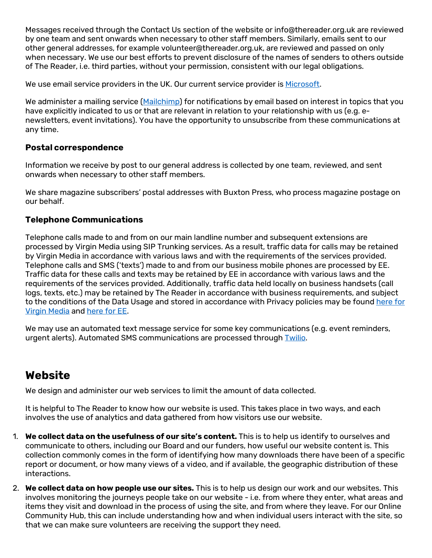Messages received through the Contact Us section of the website or info@thereader.org.uk are reviewed by one team and sent onwards when necessary to other staff members. Similarly, emails sent to our other general addresses, for example volunteer@thereader.org.uk, are reviewed and passed on only when necessary. We use our best efforts to prevent disclosure of the names of senders to others outside of The Reader, i.e. third parties, without your permission, consistent with our legal obligations.

We use email service providers in the UK. Our current service provider is [Microsoft.](https://privacy.microsoft.com/en-gb/privacystatement)

We administer a mailing service [\(Mailchimp\)](https://mailchimp.com/legal/privacy/) for notifications by email based on interest in topics that you have explicitly indicated to us or that are relevant in relation to your relationship with us (e.g. enewsletters, event invitations). You have the opportunity to unsubscribe from these communications at any time.

#### **Postal correspondence**

Information we receive by post to our general address is collected by one team, reviewed, and sent onwards when necessary to other staff members.

We share magazine subscribers' postal addresses with Buxton Press, who process magazine postage on our behalf.

#### **Telephone Communications**

Telephone calls made to and from on our main landline number and subsequent extensions are processed by Virgin Media using SIP Trunking services. As a result, traffic data for calls may be retained by Virgin Media in accordance with various laws and with the requirements of the services provided. Telephone calls and SMS ('texts') made to and from our business mobile phones are processed by EE. Traffic data for these calls and texts may be retained by EE in accordance with various laws and the requirements of the services provided. Additionally, traffic data held locally on business handsets (call logs, texts, etc.) may be retained by The Reader in accordance with business requirements, and subject to the conditions of the Data Usage and stored in accordance with Privacy policies may be found [here for](https://www.virginmedia.com/shop/the-legal-stuff/privacy-policy) [Virgin Media](https://www.virginmedia.com/shop/the-legal-stuff/privacy-policy) and [here for EE.](https://ee.co.uk/eeprivacycentre/ee-privacy-policy)

We may use an automated text message service for some key communications (e.g. event reminders, urgent alerts). Automated SMS communications are processed through [Twilio.](https://www.twilio.com/legal/privacy#how-twilio-processes-your-end-users-personal-information)

### **Website**

We design and administer our web services to limit the amount of data collected.

It is helpful to The Reader to know how our website is used. This takes place in two ways, and each involves the use of analytics and data gathered from how visitors use our website.

- 1. **We collect data on the usefulness of our site's content.** This is to help us identify to ourselves and communicate to others, including our Board and our funders, how useful our website content is. This collection commonly comes in the form of identifying how many downloads there have been of a specific report or document, or how many views of a video, and if available, the geographic distribution of these interactions.
- 2. **We collect data on how people use our sites.** This is to help us design our work and our websites. This involves monitoring the journeys people take on our website - i.e. from where they enter, what areas and items they visit and download in the process of using the site, and from where they leave. For our Online Community Hub, this can include understanding how and when individual users interact with the site, so that we can make sure volunteers are receiving the support they need.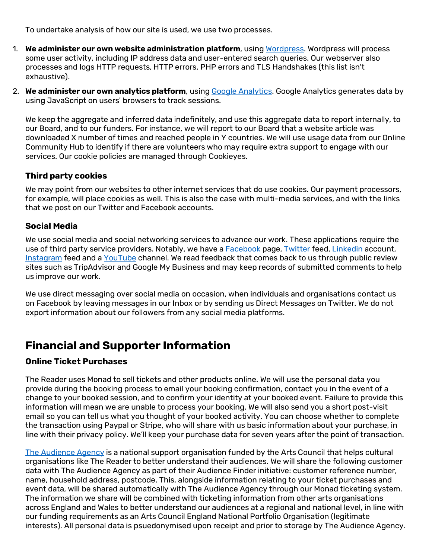To undertake analysis of how our site is used, we use two processes.

- 1. **We administer our own website administration platform**, using [Wordpress.](https://en-gb.wordpress.org/about/privacy/) Wordpress will process some user activity, including IP address data and user-entered search queries. Our webserver also processes and logs HTTP requests, HTTP errors, PHP errors and TLS Handshakes (this list isn't exhaustive).
- 2. **We administer our own analytics platform**, using [Google Analytics.](https://policies.google.com/privacy?hl=en-GB&gl=uk) Google Analytics generates data by using JavaScript on users' browsers to track sessions.

We keep the aggregate and inferred data indefinitely, and use this aggregate data to report internally, to our Board, and to our funders. For instance, we will report to our Board that a website article was downloaded X number of times and reached people in Y countries. We will use usage data from our Online Community Hub to identify if there are volunteers who may require extra support to engage with our services. Our cookie policies are managed through Cookieyes.

#### **Third party cookies**

We may point from our websites to other internet services that do use cookies. Our payment processors, for example, will place cookies as well. This is also the case with multi-media services, and with the links that we post on our Twitter and Facebook accounts.

#### **Social Media**

We use social media and social networking services to advance our work. These applications require the use of third party service providers. Notably, we have a [Facebook](https://www.facebook.com/full_data_use_policy) page, [Twitter](https://twitter.com/en/privacy) feed, [Linkedin](https://www.linkedin.com/legal/privacy-policy) account, [Instagram](https://help.instagram.com/155833707900388) feed and a [YouTube](https://support.google.com/youtube/answer/7671399?p=privacy_guidelines&hl=en&visit_id=1-636626827380091003-582494792&rd=1) channel. We read feedback that comes back to us through public review sites such as TripAdvisor and Google My Business and may keep records of submitted comments to help us improve our work.

We use direct messaging over social media on occasion, when individuals and organisations contact us on Facebook by leaving messages in our Inbox or by sending us Direct Messages on Twitter. We do not export information about our followers from any social media platforms.

### **Financial and Supporter Information**

#### **Online Ticket Purchases**

The Reader uses Monad to sell tickets and other products online. We will use the personal data you provide during the booking process to email your booking confirmation, contact you in the event of a change to your booked session, and to confirm your identity at your booked event. Failure to provide this information will mean we are unable to process your booking. We will also send you a short post-visit email so you can tell us what you thought of your booked activity. You can choose whether to complete the transaction using Paypal or Stripe, who will share with us basic information about your purchase, in line with their privacy policy. We'll keep your purchase data for seven years after the point of transaction.

[The Audience Agency](https://www.theaudienceagency.org/about-us) is a national support organisation funded by the Arts Council that helps cultural organisations like The Reader to better understand their audiences. We will share the following customer data with The Audience Agency as part of their Audience Finder initiative: customer reference number, name, household address, postcode. This, alongside information relating to your ticket purchases and event data, will be shared automatically with The Audience Agency through our Monad ticketing system. The information we share will be combined with ticketing information from other arts organisations across England and Wales to better understand our audiences at a regional and national level, in line with our funding requirements as an Arts Council England National Portfolio Organisation (legitimate interests). All personal data is psuedonymised upon receipt and prior to storage by The Audience Agency.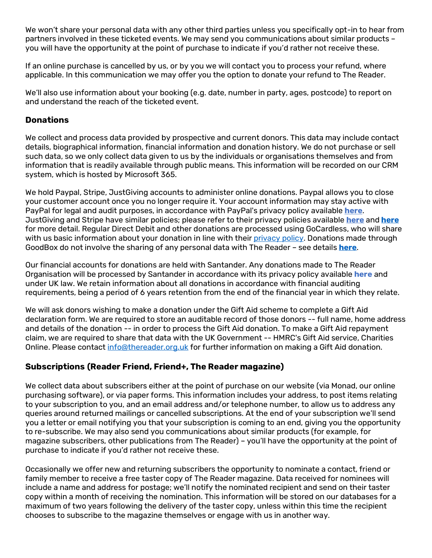We won't share your personal data with any other third parties unless you specifically opt-in to hear from partners involved in these ticketed events. We may send you communications about similar products – you will have the opportunity at the point of purchase to indicate if you'd rather not receive these.

If an online purchase is cancelled by us, or by you we will contact you to process your refund, where applicable. In this communication we may offer you the option to donate your refund to The Reader.

We'll also use information about your booking (e.g. date, number in party, ages, postcode) to report on and understand the reach of the ticketed event.

#### **Donations**

We collect and process data provided by prospective and current donors. This data may include contact details, biographical information, financial information and donation history. We do not purchase or sell such data, so we only collect data given to us by the individuals or organisations themselves and from information that is readily available through public means. This information will be recorded on our CRM system, which is hosted by Microsoft 365.

We hold Paypal, Stripe, JustGiving accounts to administer online donations. Paypal allows you to close your customer account once you no longer require it. Your account information may stay active with PayPal for legal and audit purposes, in accordance with PayPal's privacy policy available **[here](https://www.paypal.com/gb/webapps/mpp/ua/privacy-full)**. JustGiving and Stripe have similar policies; please refer to their privacy policies available **[here](https://www.justgiving.com/info/privacy-policy-versions/privacy-policy-v22)** and **[here](https://stripe.com/gb/privacy)** for more detail. Regular Direct Debit and other donations are processed using GoCardless, who will share with us basic information about your donation in line with thei[r privacy policy.](https://gocardless.com/privacy/payers/) Donations made through GoodBox do not involve the sharing of any personal data with The Reader – see details **[here](https://www.goodbox.com/guide/do-you-store-my-personal-data/)**.

Our financial accounts for donations are held with Santander. Any donations made to The Reader Organisation will be processed by Santander in accordance with its [privacy policy available](https://www.santander.co.uk/uk/help-support/security-centre/privacy-statement) **here** and under UK law. We retain information about all donations in accordance with financial auditing requirements, being a period of 6 years retention from the end of the financial year in which they relate.

We will ask donors wishing to make a donation under the Gift Aid scheme to complete a Gift Aid declaration form. We are required to store an auditable record of those donors -- full name, home address and details of the donation -- in order to process the Gift Aid donation. To make a Gift Aid repayment claim, we are required to share that data with the UK Government -- HMRC's Gift Aid service, Charities Online. Please contact [info@thereader.org.uk](mailto:info@thereader.org.uk) for further information on making a Gift Aid donation.

#### **Subscriptions (Reader Friend, Friend+, The Reader magazine)**

We collect data about subscribers either at the point of purchase on our website (via Monad, our online purchasing software), or via paper forms. This information includes your address, to post items relating to your subscription to you, and an email address and/or telephone number, to allow us to address any queries around returned mailings or cancelled subscriptions. At the end of your subscription we'll send you a letter or email notifying you that your subscription is coming to an end, giving you the opportunity to re-subscribe. We may also send you communications about similar products (for example, for magazine subscribers, other publications from The Reader) – you'll have the opportunity at the point of purchase to indicate if you'd rather not receive these.

Occasionally we offer new and returning subscribers the opportunity to nominate a contact, friend or family member to receive a free taster copy of The Reader magazine. Data received for nominees will include a name and address for postage; we'll notify the nominated recipient and send on their taster copy within a month of receiving the nomination. This information will be stored on our databases for a maximum of two years following the delivery of the taster copy, unless within this time the recipient chooses to subscribe to the magazine themselves or engage with us in another way.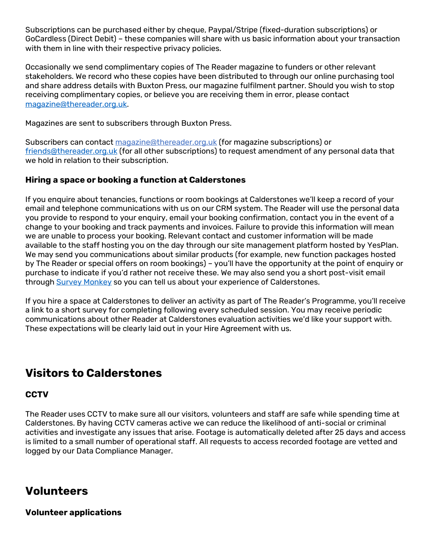Subscriptions can be purchased either by cheque, Paypal/Stripe (fixed-duration subscriptions) or GoCardless (Direct Debit) – these companies will share with us basic information about your transaction with them in line with their respective privacy policies.

Occasionally we send complimentary copies of The Reader magazine to funders or other relevant stakeholders. We record who these copies have been distributed to through our online purchasing tool and share address details with Buxton Press, our magazine fulfilment partner. Should you wish to stop receiving complimentary copies, or believe you are receiving them in error, please contact [magazine@thereader.org.uk.](mailto:magazine@thereader.org.uk)

Magazines are sent to subscribers through Buxton Press.

Subscribers can contact [magazine@thereader.org.uk](mailto:magazine@thereader.org.uk) (for magazine subscriptions) or [friends@thereader.org.uk](mailto:friends@thereader.org.uk) (for all other subscriptions) to request amendment of any personal data that we hold in relation to their subscription.

#### **Hiring a space or booking a function at Calderstones**

If you enquire about tenancies, functions or room bookings at Calderstones we'll keep a record of your email and telephone communications with us on our CRM system. The Reader will use the personal data you provide to respond to your enquiry, email your booking confirmation, contact you in the event of a change to your booking and track payments and invoices. Failure to provide this information will mean we are unable to process your booking. Relevant contact and customer information will be made available to the staff hosting you on the day through our site management platform hosted by YesPlan. We may send you communications about similar products (for example, new function packages hosted by The Reader or special offers on room bookings) – you'll have the opportunity at the point of enquiry or purchase to indicate if you'd rather not receive these. We may also send you a short post-visit email through [Survey Monkey](https://www.surveymonkey.com/mp/legal/privacy-policy/) so you can tell us about your experience of Calderstones.

If you hire a space at Calderstones to deliver an activity as part of The Reader's Programme, you'll receive a link to a short survey for completing following every scheduled session. You may receive periodic communications about other Reader at Calderstones evaluation activities we'd like your support with. These expectations will be clearly laid out in your Hire Agreement with us.

# **Visitors to Calderstones**

#### **CCTV**

The Reader uses CCTV to make sure all our visitors, volunteers and staff are safe while spending time at Calderstones. By having CCTV cameras active we can reduce the likelihood of anti-social or criminal activities and investigate any issues that arise. Footage is automatically deleted after 25 days and access is limited to a small number of operational staff. All requests to access recorded footage are vetted and logged by our Data Compliance Manager.

### **Volunteers**

**Volunteer applications**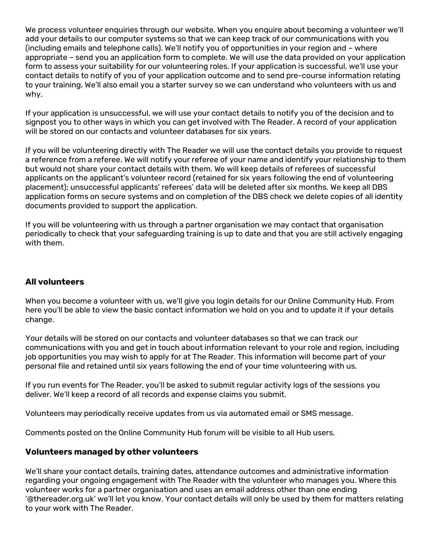We process volunteer enquiries through our website. When you enquire about becoming a volunteer we'll add your details to our computer systems so that we can keep track of our communications with you (including emails and telephone calls). We'll notify you of opportunities in your region and – where appropriate – send you an application form to complete. We will use the data provided on your application form to assess your suitability for our volunteering roles. If your application is successful, we'll use your contact details to notify of you of your application outcome and to send pre-course information relating to your training. We'll also email you a starter survey so we can understand who volunteers with us and why.

If your application is unsuccessful, we will use your contact details to notify you of the decision and to signpost you to other ways in which you can get involved with The Reader. A record of your application will be stored on our contacts and volunteer databases for six years.

If you will be volunteering directly with The Reader we will use the contact details you provide to request a reference from a referee. We will notify your referee of your name and identify your relationship to them but would not share your contact details with them. We will keep details of referees of successful applicants on the applicant's volunteer record (retained for six years following the end of volunteering placement); unsuccessful applicants' referees' data will be deleted after six months. We keep all DBS application forms on secure systems and on completion of the DBS check we delete copies of all identity documents provided to support the application.

If you will be volunteering with us through a partner organisation we may contact that organisation periodically to check that your safeguarding training is up to date and that you are still actively engaging with them.

#### **All volunteers**

When you become a volunteer with us, we'll give you login details for our Online Community Hub. From here you'll be able to view the basic contact information we hold on you and to update it if your details change.

Your details will be stored on our contacts and volunteer databases so that we can track our communications with you and get in touch about information relevant to your role and region, including job opportunities you may wish to apply for at The Reader. This information will become part of your personal file and retained until six years following the end of your time volunteering with us.

If you run events for The Reader, you'll be asked to submit regular activity logs of the sessions you deliver. We'll keep a record of all records and expense claims you submit.

Volunteers may periodically receive updates from us via automated email or SMS message.

Comments posted on the Online Community Hub forum will be visible to all Hub users.

#### **Volunteers managed by other volunteers**

We'll share your contact details, training dates, attendance outcomes and administrative information regarding your ongoing engagement with The Reader with the volunteer who manages you. Where this volunteer works for a partner organisation and uses an email address other than one ending '@thereader.org.uk' we'll let you know. Your contact details will only be used by them for matters relating to your work with The Reader.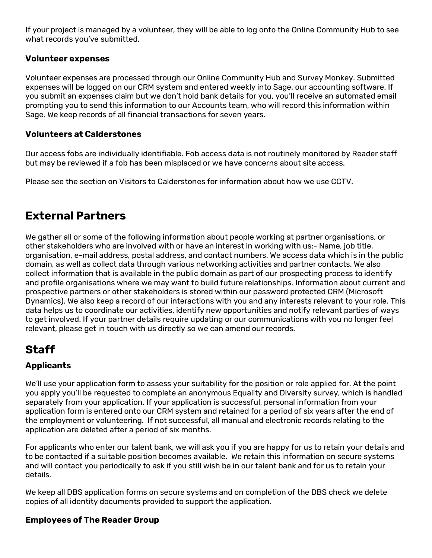If your project is managed by a volunteer, they will be able to log onto the Online Community Hub to see what records you've submitted.

#### **Volunteer expenses**

Volunteer expenses are processed through our Online Community Hub and Survey Monkey. Submitted expenses will be logged on our CRM system and entered weekly into Sage, our accounting software. If you submit an expenses claim but we don't hold bank details for you, you'll receive an automated email prompting you to send this information to our Accounts team, who will record this information within Sage. We keep records of all financial transactions for seven years.

#### **Volunteers at Calderstones**

Our access fobs are individually identifiable. Fob access data is not routinely monitored by Reader staff but may be reviewed if a fob has been misplaced or we have concerns about site access.

Please see the section on Visitors to Calderstones for information about how we use CCTV.

### **External Partners**

We gather all or some of the following information about people working at partner organisations, or other stakeholders who are involved with or have an interest in working with us:- Name, job title, organisation, e-mail address, postal address, and contact numbers. We access data which is in the public domain, as well as collect data through various networking activities and partner contacts. We also collect information that is available in the public domain as part of our prospecting process to identify and profile organisations where we may want to build future relationships. Information about current and prospective partners or other stakeholders is stored within our password protected CRM (Microsoft Dynamics). We also keep a record of our interactions with you and any interests relevant to your role. This data helps us to coordinate our activities, identify new opportunities and notify relevant parties of ways to get involved. If your partner details require updating or our communications with you no longer feel relevant, please get in touch with us directly so we can amend our records.

### **Staff**

### **Applicants**

We'll use your application form to assess your suitability for the position or role applied for. At the point you apply you'll be requested to complete an anonymous Equality and Diversity survey, which is handled separately from your application. If your application is successful, personal information from your application form is entered onto our CRM system and retained for a period of six years after the end of the employment or volunteering. If not successful, all manual and electronic records relating to the application are deleted after a period of six months.

For applicants who enter our talent bank, we will ask you if you are happy for us to retain your details and to be contacted if a suitable position becomes available. We retain this information on secure systems and will contact you periodically to ask if you still wish be in our talent bank and for us to retain your details.

We keep all DBS application forms on secure systems and on completion of the DBS check we delete copies of all identity documents provided to support the application.

#### **Employees of The Reader Group**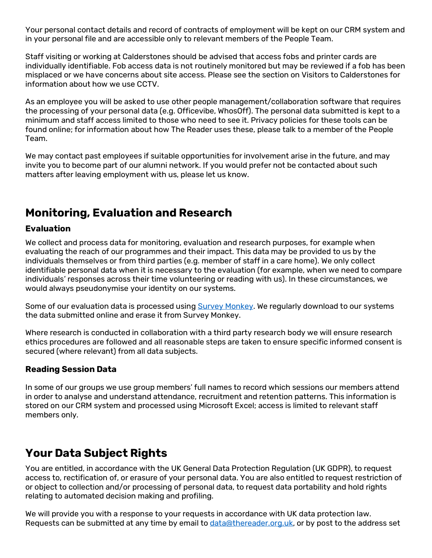Your personal contact details and record of contracts of employment will be kept on our CRM system and in your personal file and are accessible only to relevant members of the People Team.

Staff visiting or working at Calderstones should be advised that access fobs and printer cards are individually identifiable. Fob access data is not routinely monitored but may be reviewed if a fob has been misplaced or we have concerns about site access. Please see the section on Visitors to Calderstones for information about how we use CCTV.

As an employee you will be asked to use other people management/collaboration software that requires the processing of your personal data (e.g. Officevibe, WhosOff). The personal data submitted is kept to a minimum and staff access limited to those who need to see it. Privacy policies for these tools can be found online; for information about how The Reader uses these, please talk to a member of the People Team.

We may contact past employees if suitable opportunities for involvement arise in the future, and may invite you to become part of our alumni network. If you would prefer not be contacted about such matters after leaving employment with us, please let us know.

### **Monitoring, Evaluation and Research**

#### **Evaluation**

We collect and process data for monitoring, evaluation and research purposes, for example when evaluating the reach of our programmes and their impact. This data may be provided to us by the individuals themselves or from third parties (e.g. member of staff in a care home). We only collect identifiable personal data when it is necessary to the evaluation (for example, when we need to compare individuals' responses across their time volunteering or reading with us). In these circumstances, we would always pseudonymise your identity on our systems.

Some of our evaluation data is processed using [Survey Monkey.](https://www.surveymonkey.com/mp/legal/privacy-policy/) We regularly download to our systems the data submitted online and erase it from Survey Monkey.

Where research is conducted in collaboration with a third party research body we will ensure research ethics procedures are followed and all reasonable steps are taken to ensure specific informed consent is secured (where relevant) from all data subjects.

#### **Reading Session Data**

In some of our groups we use group members' full names to record which sessions our members attend in order to analyse and understand attendance, recruitment and retention patterns. This information is stored on our CRM system and processed using Microsoft Excel; access is limited to relevant staff members only.

### **Your Data Subject Rights**

You are entitled, in accordance with the UK General Data Protection Regulation (UK GDPR), to request access to, rectification of, or erasure of your personal data. You are also entitled to request restriction of or object to collection and/or processing of personal data, to request data portability and hold rights relating to automated decision making and profiling.

We will provide you with a response to your requests in accordance with UK data protection law. Requests can be submitted at any time by email to [data@thereader.org.uk,](mailto:data@thereader.org.uk) or by post to the address set